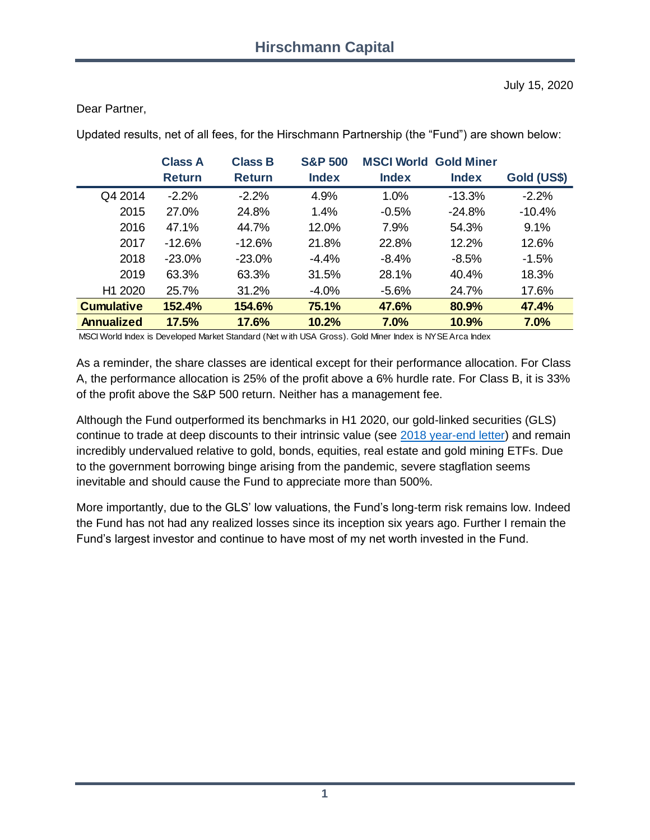July 15, 2020

#### Dear Partner,

|                     | <b>Class A</b> | <b>Class B</b> | <b>S&amp;P 500</b> | <b>MSCI World Gold Miner</b> |              |             |
|---------------------|----------------|----------------|--------------------|------------------------------|--------------|-------------|
|                     | <b>Return</b>  | <b>Return</b>  | <b>Index</b>       | <b>Index</b>                 | <b>Index</b> | Gold (US\$) |
| Q4 2014             | $-2.2%$        | $-2.2%$        | 4.9%               | 1.0%                         | $-13.3%$     | $-2.2%$     |
| 2015                | 27.0%          | 24.8%          | 1.4%               | $-0.5%$                      | $-24.8%$     | $-10.4%$    |
| 2016                | 47.1%          | 44.7%          | 12.0%              | 7.9%                         | 54.3%        | 9.1%        |
| 2017                | $-12.6%$       | $-12.6%$       | 21.8%              | 22.8%                        | 12.2%        | 12.6%       |
| 2018                | $-23.0%$       | $-23.0%$       | $-4.4%$            | $-8.4%$                      | $-8.5%$      | $-1.5%$     |
| 2019                | 63.3%          | 63.3%          | 31.5%              | 28.1%                        | 40.4%        | 18.3%       |
| H <sub>1</sub> 2020 | 25.7%          | 31.2%          | $-4.0%$            | $-5.6%$                      | 24.7%        | 17.6%       |
| <b>Cumulative</b>   | 152.4%         | 154.6%         | 75.1%              | 47.6%                        | 80.9%        | 47.4%       |
| <b>Annualized</b>   | 17.5%          | 17.6%          | 10.2%              | 7.0%                         | 10.9%        | 7.0%        |

Updated results, net of all fees, for the Hirschmann Partnership (the "Fund") are shown below:

MSCI World Index is Developed Market Standard (Net w ith USA Gross). Gold Miner Index is NYSE Arca Index

As a reminder, the share classes are identical except for their performance allocation. For Class A, the performance allocation is 25% of the profit above a 6% hurdle rate. For Class B, it is 33% of the profit above the S&P 500 return. Neither has a management fee.

Although the Fund outperformed its benchmarks in H1 2020, our gold-linked securities (GLS) continue to trade at deep discounts to their intrinsic value (see [2018 year-end letter\)](https://www.hcapital.llc/public-letters) and remain incredibly undervalued relative to gold, bonds, equities, real estate and gold mining ETFs. Due to the government borrowing binge arising from the pandemic, severe stagflation seems inevitable and should cause the Fund to appreciate more than 500%.

More importantly, due to the GLS' low valuations, the Fund's long-term risk remains low. Indeed the Fund has not had any realized losses since its inception six years ago. Further I remain the Fund's largest investor and continue to have most of my net worth invested in the Fund.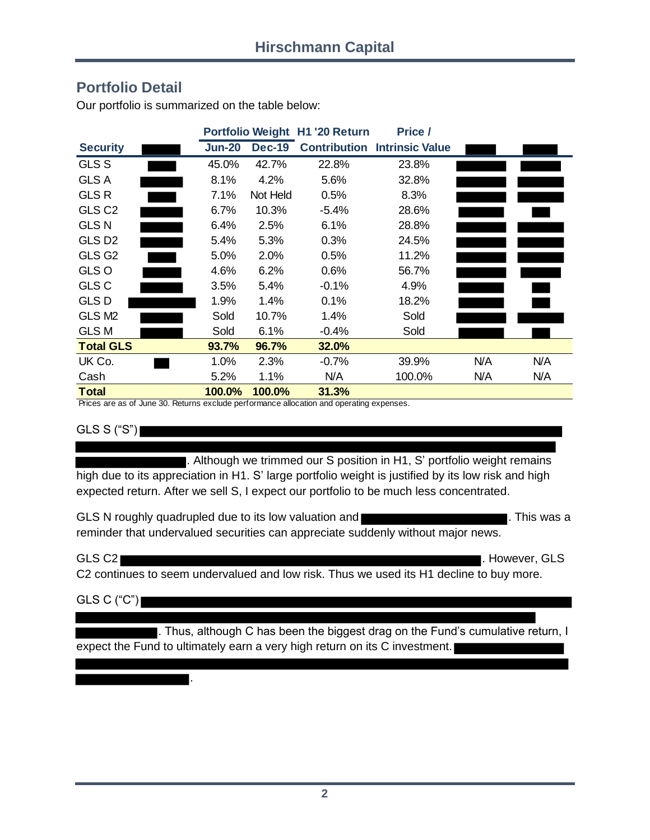#### **Portfolio Detail**

|                    | Portfolio Weight H1 '20 Return |               |         | Price /                             |     |     |
|--------------------|--------------------------------|---------------|---------|-------------------------------------|-----|-----|
| <b>Security</b>    | <b>Jun-20</b>                  | <b>Dec-19</b> |         | <b>Contribution Intrinsic Value</b> |     |     |
| <b>GLS S</b>       | 45.0%                          | 42.7%         | 22.8%   | 23.8%                               |     |     |
| <b>GLS A</b>       | 8.1%                           | 4.2%          | 5.6%    | 32.8%                               |     |     |
| <b>GLSR</b>        | 7.1%                           | Not Held      | 0.5%    | 8.3%                                |     |     |
| GLS <sub>C2</sub>  | 6.7%                           | 10.3%         | $-5.4%$ | 28.6%                               |     |     |
| <b>GLS N</b>       | 6.4%                           | 2.5%          | 6.1%    | 28.8%                               |     |     |
| GLS D <sub>2</sub> | 5.4%                           | 5.3%          | 0.3%    | 24.5%                               |     |     |
| GLS G <sub>2</sub> | 5.0%                           | 2.0%          | 0.5%    | 11.2%                               |     |     |
| GLS O              | 4.6%                           | 6.2%          | 0.6%    | 56.7%                               |     |     |
| <b>GLS C</b>       | 3.5%                           | 5.4%          | $-0.1%$ | 4.9%                                |     |     |
| <b>GLSD</b>        | 1.9%                           | 1.4%          | 0.1%    | 18.2%                               |     |     |
| GLS M <sub>2</sub> | Sold                           | 10.7%         | 1.4%    | Sold                                |     |     |
| <b>GLS M</b>       | Sold                           | 6.1%          | $-0.4%$ | Sold                                |     |     |
| <b>Total GLS</b>   | 93.7%                          | 96.7%         | 32.0%   |                                     |     |     |
| UK Co.             | 1.0%                           | 2.3%          | $-0.7%$ | 39.9%                               | N/A | N/A |
| Cash               | 5.2%                           | 1.1%          | N/A     | 100.0%                              | N/A | N/A |
| <b>Total</b>       | 100.0%                         | 100.0%        | 31.3%   |                                     |     |     |

Our portfolio is summarized on the table below:

Prices are as of June 30. Returns exclude performance allocation and operating expenses.

GLS S ("S")

■. Although we trimmed our S position in H1, S' portfolio weight remains high due to its appreciation in H1. S' large portfolio weight is justified by its low risk and high expected return. After we sell S, I expect our portfolio to be much less concentrated.

GLS N roughly quadrupled due to its low valuation and **COVID 2008** 2008. This was a reminder that undervalued securities can appreciate suddenly without major news.

GLS C2 . However, GLS . However, GLS . However, GLS . However, GLS . However, GLS

C2 continues to seem undervalued and low risk. Thus we used its H1 decline to buy more.

 $GLS C ("C")$ 

.

. Thus, although C has been the biggest drag on the Fund's cumulative return, I expect the Fund to ultimately earn a very high return on its C investment.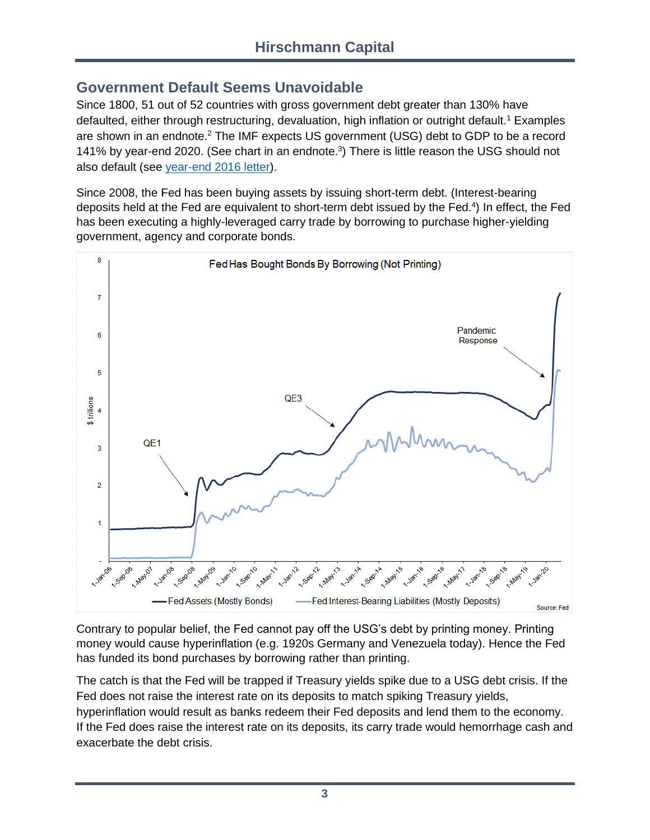## **Government Default Seems Unavoidable**

Since 1800, 51 out of 52 countries with gross government debt greater than 130% have defaulted, either through restructuring, devaluation, high inflation or outright default. <sup>1</sup> Examples are shown in an endnote.<sup>2</sup> The IMF expects US government (USG) debt to GDP to be a record 141% by year-end 2020. (See chart in an endnote.<sup>3</sup>) There is little reason the USG should not also default (see [year-end 2016 letter\)](https://6a29c7c5-4d35-4429-8c98-d306824aff19.filesusr.com/ugd/dc7287_b48207f22a234219af878f64709add96.pdf?index=true).

Since 2008, the Fed has been buying assets by issuing short-term debt. (Interest-bearing deposits held at the Fed are equivalent to short-term debt issued by the Fed.<sup>4</sup>) In effect, the Fed has been executing a highly-leveraged carry trade by borrowing to purchase higher-yielding government, agency and corporate bonds.



Contrary to popular belief, the Fed cannot pay off the USG's debt by printing money. Printing money would cause hyperinflation (e.g. 1920s Germany and Venezuela today). Hence the Fed has funded its bond purchases by borrowing rather than printing.

The catch is that the Fed will be trapped if Treasury yields spike due to a USG debt crisis. If the Fed does not raise the interest rate on its deposits to match spiking Treasury yields, hyperinflation would result as banks redeem their Fed deposits and lend them to the economy. If the Fed does raise the interest rate on its deposits, its carry trade would hemorrhage cash and exacerbate the debt crisis.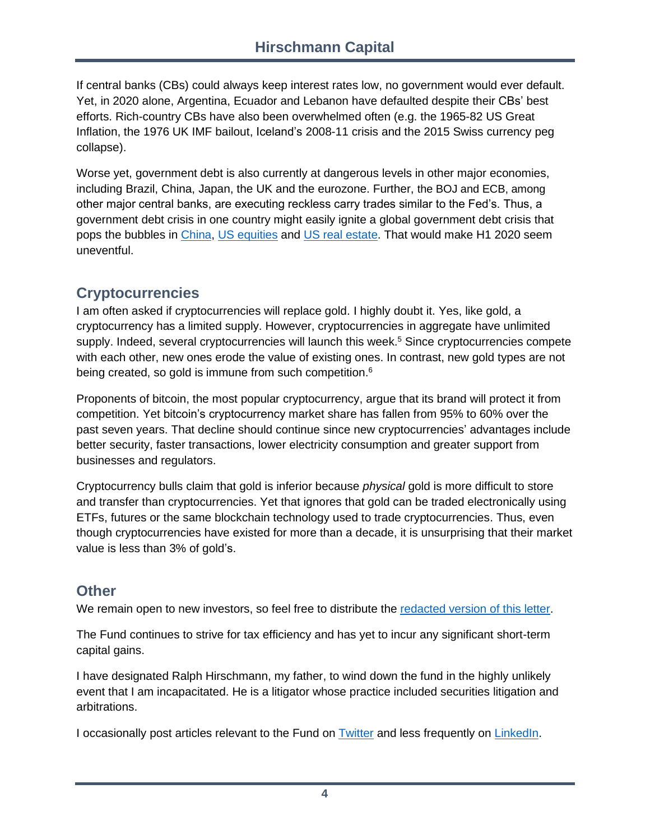If central banks (CBs) could always keep interest rates low, no government would ever default. Yet, in 2020 alone, Argentina, Ecuador and Lebanon have defaulted despite their CBs' best efforts. Rich-country CBs have also been overwhelmed often (e.g. the 1965-82 US Great Inflation, the 1976 UK IMF bailout, Iceland's 2008-11 crisis and the 2015 Swiss currency peg collapse).

Worse yet, government debt is also currently at dangerous levels in other major economies, including Brazil, China, Japan, the UK and the eurozone. Further, the BOJ and ECB, among other major central banks, are executing reckless carry trades similar to the Fed's. Thus, a government debt crisis in one country might easily ignite a global government debt crisis that pops the bubbles in [China,](https://6a29c7c5-4d35-4429-8c98-d306824aff19.filesusr.com/ugd/dc7287_b48207f22a234219af878f64709add96.pdf) [US equities](https://6a29c7c5-4d35-4429-8c98-d306824aff19.filesusr.com/ugd/dc7287_0b510603694043fca0b80f7eeb59d776.pdf) and [US real estate.](https://twitter.com/HCapitalLLC/status/1026567027010490368) That would make H1 2020 seem uneventful.

## **Cryptocurrencies**

I am often asked if cryptocurrencies will replace gold. I highly doubt it. Yes, like gold, a cryptocurrency has a limited supply. However, cryptocurrencies in aggregate have unlimited supply. Indeed, several cryptocurrencies will launch this week.<sup>5</sup> Since cryptocurrencies compete with each other, new ones erode the value of existing ones. In contrast, new gold types are not being created, so gold is immune from such competition.<sup>6</sup>

Proponents of bitcoin, the most popular cryptocurrency, argue that its brand will protect it from competition. Yet bitcoin's cryptocurrency market share has fallen from 95% to 60% over the past seven years. That decline should continue since new cryptocurrencies' advantages include better security, faster transactions, lower electricity consumption and greater support from businesses and regulators.

Cryptocurrency bulls claim that gold is inferior because *physical* gold is more difficult to store and transfer than cryptocurrencies. Yet that ignores that gold can be traded electronically using ETFs, futures or the same blockchain technology used to trade cryptocurrencies. Thus, even though cryptocurrencies have existed for more than a decade, it is unsurprising that their market value is less than 3% of gold's.

# **Other**

We remain open to new investors, so feel free to distribute the [redacted version of this letter.](https://www.hcapital.llc/letters-results)

The Fund continues to strive for tax efficiency and has yet to incur any significant short-term capital gains.

I have designated Ralph Hirschmann, my father, to wind down the fund in the highly unlikely event that I am incapacitated. He is a litigator whose practice included securities litigation and arbitrations.

I occasionally post articles relevant to the Fund on [Twitter](https://twitter.com/HCapitalLLC) and less frequently on [LinkedIn.](https://www.linkedin.com/in/brianhirschmann)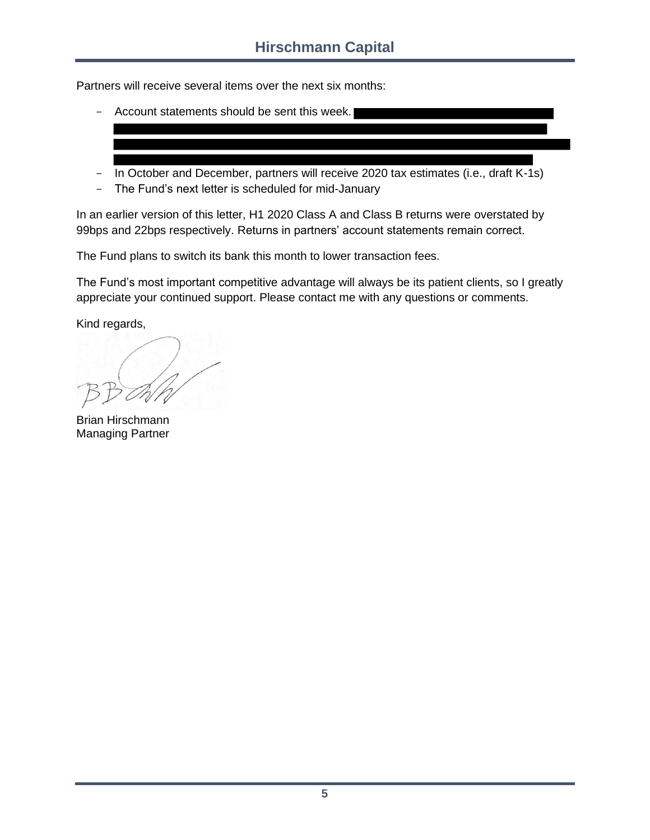Partners will receive several items over the next six months:

- Account statements should be sent this week.
- In October and December, partners will receive 2020 tax estimates (i.e., draft K-1s)
- The Fund's next letter is scheduled for mid-January

In an earlier version of this letter, H1 2020 Class A and Class B returns were overstated by 99bps and 22bps respectively. Returns in partners' account statements remain correct.

The Fund plans to switch its bank this month to lower transaction fees.

The Fund's most important competitive advantage will always be its patient clients, so I greatly appreciate your continued support. Please contact me with any questions or comments.

Kind regards,

Brian Hirschmann Managing Partner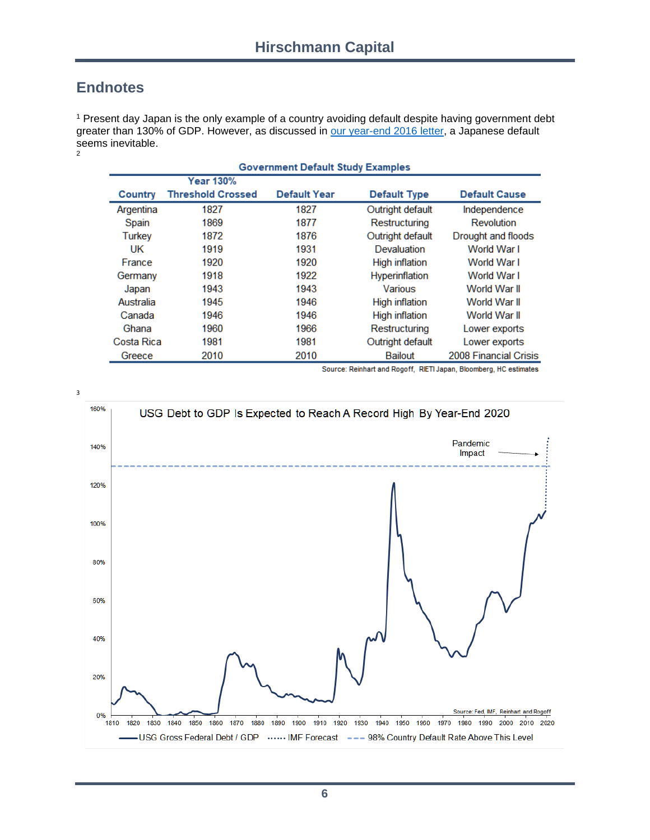### **Endnotes**

<sup>1</sup> Present day Japan is the only example of a country avoiding default despite having government debt greater than 130% of GDP. However, as discussed in [our year-end 2016 letter,](https://6a29c7c5-4d35-4429-8c98-d306824aff19.filesusr.com/ugd/dc7287_b48207f22a234219af878f64709add96.pdf?index=true) a Japanese default seems inevitable. 2

| <b>Government Default Study Examples</b> |                          |              |                       |                       |  |  |
|------------------------------------------|--------------------------|--------------|-----------------------|-----------------------|--|--|
|                                          | <b>Year 130%</b>         |              |                       |                       |  |  |
| Country                                  | <b>Threshold Crossed</b> | Default Year | <b>Default Type</b>   | <b>Default Cause</b>  |  |  |
| Argentina                                | 1827                     | 1827         | Outright default      | Independence          |  |  |
| Spain                                    | 1869                     | 1877         | Restructuring         | Revolution            |  |  |
| Turkey                                   | 1872                     | 1876         | Outright default      | Drought and floods    |  |  |
| UK                                       | 1919                     | 1931         | Devaluation           | World War I           |  |  |
| France                                   | 1920                     | 1920         | <b>High inflation</b> | World War I           |  |  |
| Germany                                  | 1918                     | 1922         | <b>Hyperinflation</b> | World War I           |  |  |
| Japan                                    | 1943                     | 1943         | Various               | World War II          |  |  |
| Australia                                | 1945                     | 1946         | <b>High inflation</b> | World War II          |  |  |
| Canada                                   | 1946                     | 1946         | <b>High inflation</b> | World War II          |  |  |
| Ghana                                    | 1960                     | 1966         | Restructuring         | Lower exports         |  |  |
| Costa Rica                               | 1981                     | 1981         | Outright default      | Lower exports         |  |  |
| Greece                                   | 2010                     | 2010         | <b>Bailout</b>        | 2008 Financial Crisis |  |  |

Source: Reinhart and Rogoff, RIETI Japan, Bloomberg, HC estimates

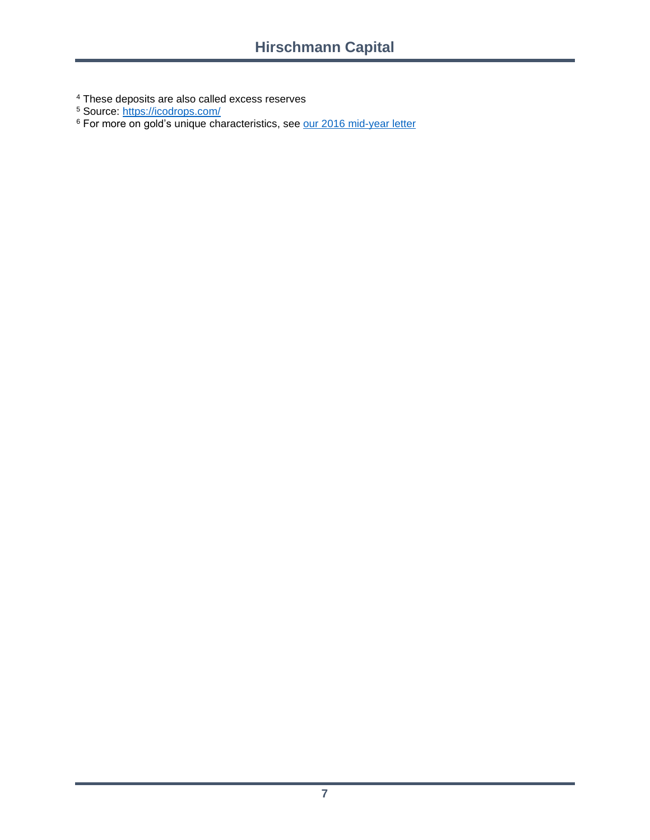<sup>4</sup> These deposits are also called excess reserves

<sup>5</sup> Source: <u>https://icodrops.com/</u>

<sup>6</sup> For more on gold's unique characteristics, see [our 2016 mid-year letter](https://6a29c7c5-4d35-4429-8c98-d306824aff19.filesusr.com/ugd/dc7287_61f26134ac4d43f29824f0899737942c.pdf?index=true)